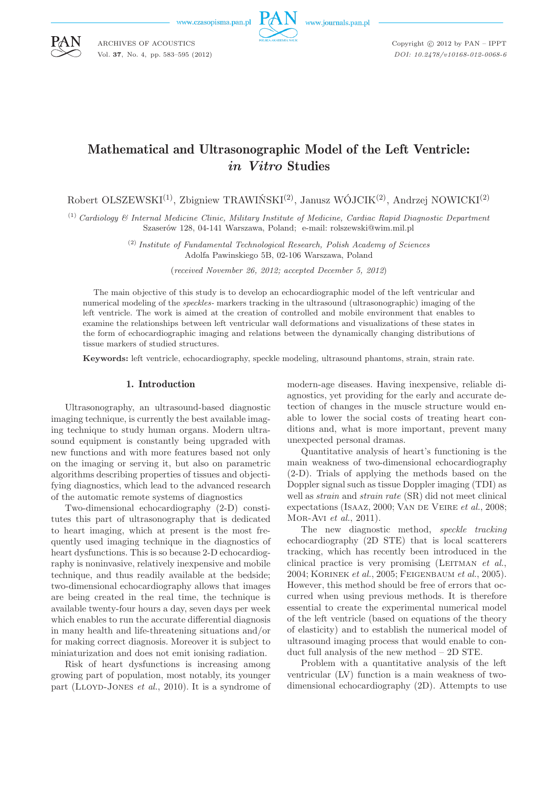www.czasopisma.pan.pl



www.journals.pan.pl

Copyright  $\odot$  2012 by PAN - IPPT *DOI: 10.2478/v10168-012-0068-6*

# Mathematical and Ultrasonographic Model of the Left Ventricle: *in Vitro* Studies

Robert OLSZEWSKI(1), Zbigniew TRAWIŃSKI(2), Janusz WÓJCIK(2), Andrzej NOWICKI(2)

(1) *Cardiology & Internal Medicine Clinic, Military Institute of Medicine, Cardiac Rapid Diagnostic Department* Szaserów 128, 04-141 Warszawa, Poland; e-mail: rolszewski@wim.mil.pl

> (2) *Institute of Fundamental Technological Research, Polish Academy of Sciences* Adolfa Pawinskiego 5B, 02-106 Warszawa, Poland

> > (*received November 26, 2012; accepted December 5, 2012*)

The main objective of this study is to develop an echocardiographic model of the left ventricular and numerical modeling of the *speckles-* markers tracking in the ultrasound (ultrasonographic) imaging of the left ventricle. The work is aimed at the creation of controlled and mobile environment that enables to examine the relationships between left ventricular wall deformations and visualizations of these states in the form of echocardiographic imaging and relations between the dynamically changing distributions of tissue markers of studied structures.

**Keywords:** left ventricle, echocardiography, speckle modeling, ultrasound phantoms, strain, strain rate.

### 1. Introduction

Ultrasonography, an ultrasound-based diagnostic imaging technique, is currently the best available imaging technique to study human organs. Modern ultrasound equipment is constantly being upgraded with new functions and with more features based not only on the imaging or serving it, but also on parametric algorithms describing properties of tissues and objectifying diagnostics, which lead to the advanced research of the automatic remote systems of diagnostics

Two-dimensional echocardiography (2-D) constitutes this part of ultrasonography that is dedicated to heart imaging, which at present is the most frequently used imaging technique in the diagnostics of heart dysfunctions. This is so because 2-D echocardiography is noninvasive, relatively inexpensive and mobile technique, and thus readily available at the bedside; two-dimensional echocardiography allows that images are being created in the real time, the technique is available twenty-four hours a day, seven days per week which enables to run the accurate differential diagnosis in many health and life-threatening situations and/or for making correct diagnosis. Moreover it is subject to miniaturization and does not emit ionising radiation.

Risk of heart dysfunctions is increasing among growing part of population, most notably, its younger part (LLOYD-JONES *et al.*, 2010). It is a syndrome of modern-age diseases. Having inexpensive, reliable diagnostics, yet providing for the early and accurate detection of changes in the muscle structure would enable to lower the social costs of treating heart conditions and, what is more important, prevent many unexpected personal dramas.

Quantitative analysis of heart's functioning is the main weakness of two-dimensional echocardiography (2-D). Trials of applying the methods based on the Doppler signal such as tissue Doppler imaging (TDI) as well as *strain* and *strain rate* (SR) did not meet clinical expectations (ISAAZ, 2000; VAN DE VEIRE *et al.*, 2008; Mor-Avi *et al.*, 2011).

The new diagnostic method, *speckle tracking* echocardiography (2D STE) that is local scatterers tracking, which has recently been introduced in the clinical practice is very promising (LEITMAN *et al.*, 2004; Korinek *et al.*, 2005; Feigenbaum *et al.*, 2005). However, this method should be free of errors that occurred when using previous methods. It is therefore essential to create the experimental numerical model of the left ventricle (based on equations of the theory of elasticity) and to establish the numerical model of ultrasound imaging process that would enable to conduct full analysis of the new method – 2D STE.

Problem with a quantitative analysis of the left ventricular (LV) function is a main weakness of twodimensional echocardiography (2D). Attempts to use



ARCHIVES OF ACOUSTICS Vol. **37**, No. 4, pp. 583–595 (2012)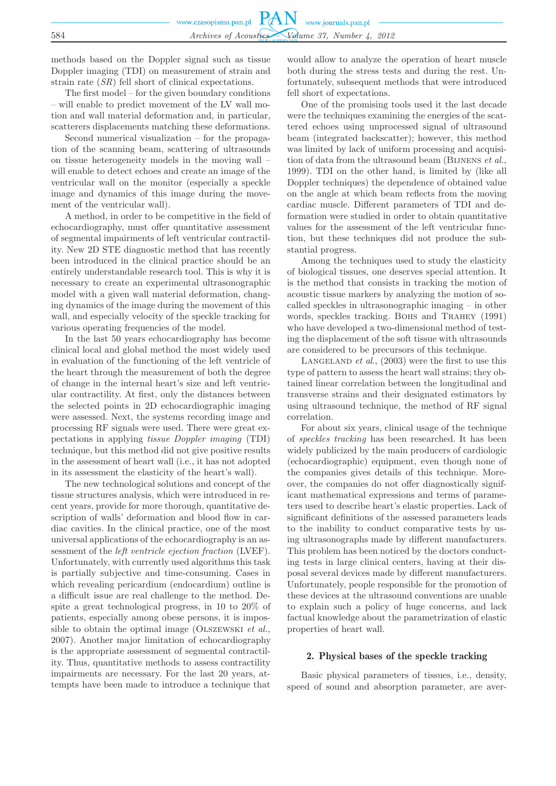methods based on the Doppler signal such as tissue Doppler imaging (TDI) on measurement of strain and strain rate (*SR*) fell short of clinical expectations.

The first model – for the given boundary conditions – will enable to predict movement of the LV wall motion and wall material deformation and, in particular, scatterers displacements matching these deformations.

Second numerical visualization – for the propagation of the scanning beam, scattering of ultrasounds on tissue heterogeneity models in the moving wall – will enable to detect echoes and create an image of the ventricular wall on the monitor (especially a speckle image and dynamics of this image during the movement of the ventricular wall).

A method, in order to be competitive in the field of echocardiography, must offer quantitative assessment of segmental impairments of left ventricular contractility. New 2D STE diagnostic method that has recently been introduced in the clinical practice should be an entirely understandable research tool. This is why it is necessary to create an experimental ultrasonographic model with a given wall material deformation, changing dynamics of the image during the movement of this wall, and especially velocity of the speckle tracking for various operating frequencies of the model.

In the last 50 years echocardiography has become clinical local and global method the most widely used in evaluation of the functioning of the left ventricle of the heart through the measurement of both the degree of change in the internal heart's size and left ventricular contractility. At first, only the distances between the selected points in 2D echocardiographic imaging were assessed. Next, the systems recording image and processing RF signals were used. There were great expectations in applying *tissue Doppler imaging* (TDI) technique, but this method did not give positive results in the assessment of heart wall (i.e., it has not adopted in its assessment the elasticity of the heart's wall).

The new technological solutions and concept of the tissue structures analysis, which were introduced in recent years, provide for more thorough, quantitative description of walls' deformation and blood flow in cardiac cavities. In the clinical practice, one of the most universal applications of the echocardiography is an assessment of the *left ventricle ejection fraction* (LVEF). Unfortunately, with currently used algorithms this task is partially subjective and time-consuming. Cases in which revealing pericardium (endocardium) outline is a difficult issue are real challenge to the method. Despite a great technological progress, in 10 to 20% of patients, especially among obese persons, it is impossible to obtain the optimal image (Olszewski *et al.*, 2007). Another major limitation of echocardiography is the appropriate assessment of segmental contractility. Thus, quantitative methods to assess contractility impairments are necessary. For the last 20 years, attempts have been made to introduce a technique that would allow to analyze the operation of heart muscle both during the stress tests and during the rest. Unfortunately, subsequent methods that were introduced fell short of expectations.

One of the promising tools used it the last decade were the techniques examining the energies of the scattered echoes using unprocessed signal of ultrasound beam (integrated backscatter); however, this method was limited by lack of uniform processing and acquisition of data from the ultrasound beam (Bijnens *et al.*, 1999). TDI on the other hand, is limited by (like all Doppler techniques) the dependence of obtained value on the angle at which beam reflects from the moving cardiac muscle. Different parameters of TDI and deformation were studied in order to obtain quantitative values for the assessment of the left ventricular function, but these techniques did not produce the substantial progress.

Among the techniques used to study the elasticity of biological tissues, one deserves special attention. It is the method that consists in tracking the motion of acoustic tissue markers by analyzing the motion of socalled speckles in ultrasonographic imaging – in other words, speckles tracking. BOHS and TRAHEY (1991) who have developed a two-dimensional method of testing the displacement of the soft tissue with ultrasounds are considered to be precursors of this technique.

Langeland *et al*., (2003) were the first to use this type of pattern to assess the heart wall strains; they obtained linear correlation between the longitudinal and transverse strains and their designated estimators by using ultrasound technique, the method of RF signal correlation.

For about six years, clinical usage of the technique of *speckles tracking* has been researched. It has been widely publicized by the main producers of cardiologic (echocardiographic) equipment, even though none of the companies gives details of this technique. Moreover, the companies do not offer diagnostically significant mathematical expressions and terms of parameters used to describe heart's elastic properties. Lack of significant definitions of the assessed parameters leads to the inability to conduct comparative tests by using ultrasonographs made by different manufacturers. This problem has been noticed by the doctors conducting tests in large clinical centers, having at their disposal several devices made by different manufacturers. Unfortunately, people responsible for the promotion of these devices at the ultrasound conventions are unable to explain such a policy of huge concerns, and lack factual knowledge about the parametrization of elastic properties of heart wall.

#### 2. Physical bases of the speckle tracking

Basic physical parameters of tissues, i.e., density, speed of sound and absorption parameter, are aver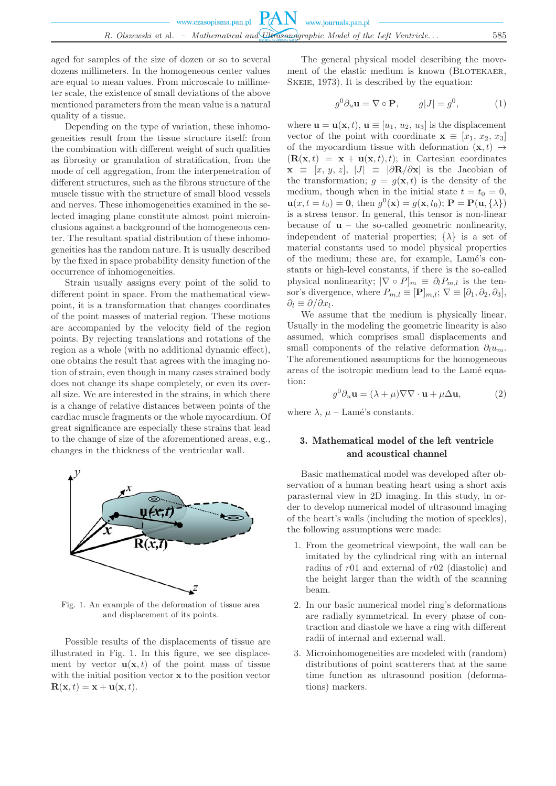aged for samples of the size of dozen or so to several dozens millimeters. In the homogeneous center values are equal to mean values. From microscale to millimeter scale, the existence of small deviations of the above mentioned parameters from the mean value is a natural quality of a tissue.

Depending on the type of variation, these inhomogeneities result from the tissue structure itself: from the combination with different weight of such qualities as fibrosity or granulation of stratification, from the mode of cell aggregation, from the interpenetration of different structures, such as the fibrous structure of the muscle tissue with the structure of small blood vessels and nerves. These inhomogeneities examined in the selected imaging plane constitute almost point microinclusions against a background of the homogeneous center. The resultant spatial distribution of these inhomogeneities has the random nature. It is usually described by the fixed in space probability density function of the occurrence of inhomogeneities.

Strain usually assigns every point of the solid to different point in space. From the mathematical viewpoint, it is a transformation that changes coordinates of the point masses of material region. These motions are accompanied by the velocity field of the region points. By rejecting translations and rotations of the region as a whole (with no additional dynamic effect), one obtains the result that agrees with the imaging notion of strain, even though in many cases strained body does not change its shape completely, or even its overall size. We are interested in the strains, in which there is a change of relative distances between points of the cardiac muscle fragments or the whole myocardium. Of great significance are especially these strains that lead to the change of size of the aforementioned areas, e.g., changes in the thickness of the ventricular wall.



Fig. 1. An example of the deformation of tissue area and displacement of its points.

Possible results of the displacements of tissue are illustrated in Fig. 1. In this figure, we see displacement by vector  $\mathbf{u}(\mathbf{x},t)$  of the point mass of tissue with the initial position vector **x** to the position vector  $\mathbf{R}(\mathbf{x},t) = \mathbf{x} + \mathbf{u}(\mathbf{x},t).$ 

The general physical model describing the movement of the elastic medium is known (BLOTEKAER, SKEIE, 1973). It is described by the equation:

$$
g^{0}\partial_{u}\mathbf{u} = \nabla \circ \mathbf{P}, \qquad g|J| = g^{0}, \tag{1}
$$

where  $\mathbf{u} = \mathbf{u}(\mathbf{x}, t)$ ,  $\mathbf{u} \equiv [u_1, u_2, u_3]$  is the displacement vector of the point with coordinate  $\mathbf{x} \equiv [x_1, x_2, x_3]$ of the myocardium tissue with deformation  $(\mathbf{x}, t) \rightarrow$  $(\mathbf{R}(\mathbf{x}, t) = \mathbf{x} + \mathbf{u}(\mathbf{x}, t), t);$  in Cartesian coordinates  $\mathbf{x} \equiv [x, y, z], |J| \equiv |\partial \mathbf{R}/\partial \mathbf{x}|$  is the Jacobian of the transformation;  $q = q(\mathbf{x}, t)$  is the density of the medium, though when in the initial state  $t = t_0 = 0$ ,  $$ is a stress tensor. In general, this tensor is non-linear because of  $\mathbf{u}$  – the so-called geometric nonlinearity, independent of material properties;  $\{\lambda\}$  is a set of material constants used to model physical properties of the medium; these are, for example, Lamé's constants or high-level constants, if there is the so-called physical nonlinearity;  $|\nabla \circ P|_m \equiv \partial_l P_{m,l}$  is the tensor's divergence, where  $P_{m,l} \equiv [\mathbf{P}]_{m,l}; \nabla \equiv [\partial_1, \partial_2, \partial_3],$  $\partial_l \equiv \partial/\partial x_l.$ 

We assume that the medium is physically linear. Usually in the modeling the geometric linearity is also assumed, which comprises small displacements and small components of the relative deformation  $\partial_l u_m$ . The aforementioned assumptions for the homogeneous areas of the isotropic medium lead to the Lamé equation:

$$
g^{0}\partial_{u}\mathbf{u} = (\lambda + \mu)\nabla\nabla \cdot \mathbf{u} + \mu \Delta \mathbf{u}, \qquad (2)
$$

where  $\lambda$ ,  $\mu$  – Lamé's constants.

# 3. Mathematical model of the left ventricle and acoustical channel

Basic mathematical model was developed after observation of a human beating heart using a short axis parasternal view in 2D imaging. In this study, in order to develop numerical model of ultrasound imaging of the heart's walls (including the motion of speckles), the following assumptions were made:

- 1. From the geometrical viewpoint, the wall can be imitated by the cylindrical ring with an internal radius of  $r01$  and external of  $r02$  (diastolic) and the height larger than the width of the scanning beam.
- 2. In our basic numerical model ring's deformations are radially symmetrical. In every phase of contraction and diastole we have a ring with different radii of internal and external wall.
- 3. Microinhomogeneities are modeled with (random) distributions of point scatterers that at the same time function as ultrasound position (deformations) markers.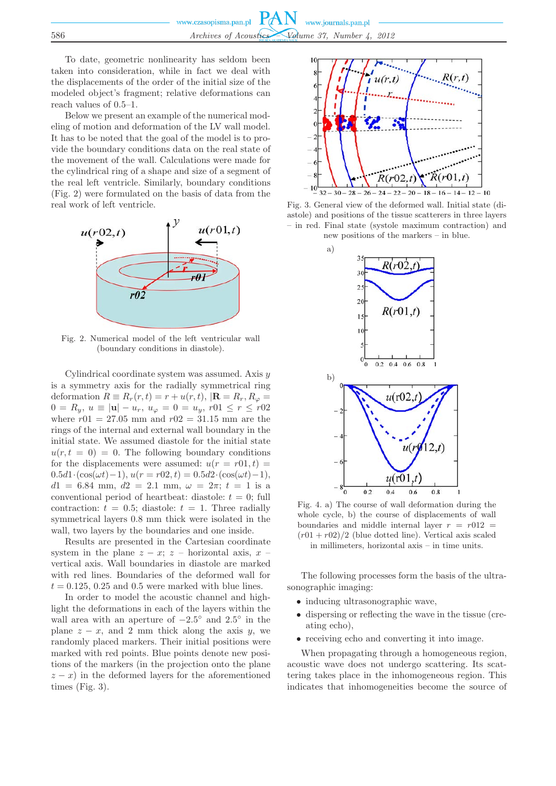|     | www.czasopisma.pan.pl $\text{PAN}_{\text{www.journals.pan.pl}}$ |
|-----|-----------------------------------------------------------------|
| 586 | Archives of Acoustics Volume 37, Number 4, 2012                 |
|     |                                                                 |

To date, geometric nonlinearity has seldom been taken into consideration, while in fact we deal with the displacements of the order of the initial size of the modeled object's fragment; relative deformations can reach values of 0.5–1.

Below we present an example of the numerical modeling of motion and deformation of the LV wall model. It has to be noted that the goal of the model is to provide the boundary conditions data on the real state of the movement of the wall. Calculations were made for the cylindrical ring of a shape and size of a segment of the real left ventricle. Similarly, boundary conditions (Fig. 2) were formulated on the basis of data from the real work of left ventricle.



Fig. 2. Numerical model of the left ventricular wall (boundary conditions in diastole).

Cylindrical coordinate system was assumed. Axis  $y$ is a symmetry axis for the radially symmetrical ring deformation  $R \equiv R_r(r, t) = r + u(r, t)$ ,  $|\mathbf{R} = R_r, R_{\varphi} =$  $0 = R_y, u \equiv |\mathbf{u}| - u_r, u_\varphi = 0 = u_y, r01 \le r \le r02$ where  $r01 = 27.05$  mm and  $r02 = 31.15$  mm are the rings of the internal and external wall boundary in the initial state. We assumed diastole for the initial state  $u(r, t = 0) = 0$ . The following boundary conditions for the displacements were assumed:  $u(r = r01, t)$  =  $0.5d1 \cdot (\cos(\omega t)-1), u(r = r02, t) = 0.5d2 \cdot (\cos(\omega t)-1),$  $d1 = 6.84$  mm,  $d2 = 2.1$  mm,  $\omega = 2\pi$ ;  $t = 1$  is a conventional period of heartbeat: diastole:  $t = 0$ ; full contraction:  $t = 0.5$ ; diastole:  $t = 1$ . Three radially symmetrical layers 0.8 mm thick were isolated in the wall, two layers by the boundaries and one inside.

Results are presented in the Cartesian coordinate system in the plane  $z - x$ ;  $z -$  horizontal axis,  $x$ vertical axis. Wall boundaries in diastole are marked with red lines. Boundaries of the deformed wall for  $t = 0.125, 0.25$  and 0.5 were marked with blue lines.

In order to model the acoustic channel and highlight the deformations in each of the layers within the wall area with an aperture of  $-2.5^{\circ}$  and  $2.5^{\circ}$  in the plane  $z - x$ , and 2 mm thick along the axis y, we randomly placed markers. Their initial positions were marked with red points. Blue points denote new positions of the markers (in the projection onto the plane  $z - x$ ) in the deformed layers for the aforementioned times (Fig. 3).



Fig. 3. General view of the deformed wall. Initial state (diastole) and positions of the tissue scatterers in three layers – in red. Final state (systole maximum contraction) and new positions of the markers – in blue.



Fig. 4. a) The course of wall deformation during the whole cycle, b) the course of displacements of wall boundaries and middle internal layer  $r = r012$  =  $(r01 + r02)/2$  (blue dotted line). Vertical axis scaled in millimeters, horizontal axis – in time units.

The following processes form the basis of the ultrasonographic imaging:

- inducing ultrasonographic wave,
- dispersing or reflecting the wave in the tissue (creating echo),
- receiving echo and converting it into image.

When propagating through a homogeneous region, acoustic wave does not undergo scattering. Its scattering takes place in the inhomogeneous region. This indicates that inhomogeneities become the source of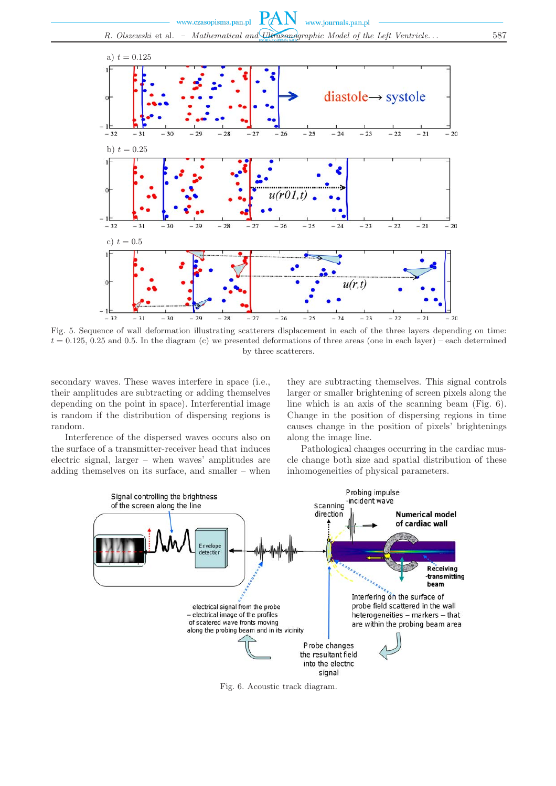

Fig. 5. Sequence of wall deformation illustrating scatterers displacement in each of the three layers depending on time:  $t = 0.125, 0.25$  and 0.5. In the diagram (c) we presented deformations of three areas (one in each layer) – each determined by three scatterers.

secondary waves. These waves interfere in space (i.e., their amplitudes are subtracting or adding themselves depending on the point in space). Interferential image is random if the distribution of dispersing regions is random.

Interference of the dispersed waves occurs also on the surface of a transmitter-receiver head that induces electric signal, larger – when waves' amplitudes are adding themselves on its surface, and smaller – when they are subtracting themselves. This signal controls larger or smaller brightening of screen pixels along the line which is an axis of the scanning beam (Fig. 6). Change in the position of dispersing regions in time causes change in the position of pixels' brightenings along the image line.

Pathological changes occurring in the cardiac muscle change both size and spatial distribution of these inhomogeneities of physical parameters.



Fig. 6. Acoustic track diagram.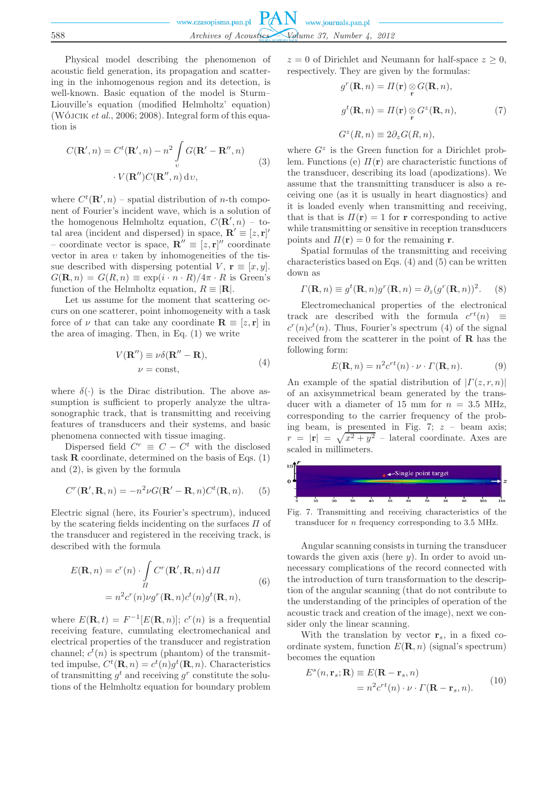|     | www.czasopisma.pan.pl $PAN$ www.journals.pan.pl |  |
|-----|-------------------------------------------------|--|
| 588 | Archives of Acoustics Volume 37, Number 4, 2012 |  |

Physical model describing the phenomenon of acoustic field generation, its propagation and scattering in the inhomogenous region and its detection, is well-known. Basic equation of the model is Sturm– Liouville's equation (modified Helmholtz' equation) (Wójcik *et al.*, 2006; 2008). Integral form of this equation is

$$
C(\mathbf{R}',n) = C^{t}(\mathbf{R}',n) - n^{2} \int_{v} G(\mathbf{R}' - \mathbf{R}'',n)
$$

$$
\cdot V(\mathbf{R}'')C(\mathbf{R}'',n) dv,
$$
 (3)

where  $C^t(\mathbf{R}', n)$  – spatial distribution of *n*-th component of Fourier's incident wave, which is a solution of the homogenous Helmholtz equation,  $C(\mathbf{R}', n)$  – total area (incident and dispersed) in space,  $\mathbf{R}' \equiv [z, \mathbf{r}]'$ − coordinate vector is space,  $\mathbf{R}^{"}$  ≡ [z, **r**]<sup>''</sup> coordinate vector in area  $v$  taken by inhomogeneities of the tissue described with dispersing potential V,  $\mathbf{r} \equiv [x, y]$ .  $G(\mathbf{R}, n) = G(R, n) \equiv \exp(i \cdot n \cdot R)/4\pi \cdot R$  is Green's function of the Helmholtz equation,  $R \equiv |\mathbf{R}|$ .

Let us assume for the moment that scattering occurs on one scatterer, point inhomogeneity with a task force of  $\nu$  that can take any coordinate  $\mathbf{R} \equiv [z, r]$  in the area of imaging. Then, in Eq. (1) we write

$$
V(\mathbf{R''}) \equiv \nu \delta(\mathbf{R''} - \mathbf{R}),
$$
  
\n
$$
\nu = \text{const},
$$
 (4)

where  $\delta(\cdot)$  is the Dirac distribution. The above assumption is sufficient to properly analyze the ultrasonographic track, that is transmitting and receiving features of transducers and their systems, and basic phenomena connected with tissue imaging.

Dispersed field  $C^r \equiv C - C^t$  with the disclosed task  $\bf{R}$  coordinate, determined on the basis of Eqs. (1) and (2), is given by the formula

$$
C^{r}(\mathbf{R}', \mathbf{R}, n) = -n^{2} \nu G(\mathbf{R}' - \mathbf{R}, n) C^{t}(\mathbf{R}, n).
$$
 (5)

Electric signal (here, its Fourier's spectrum), induced by the scatering fields incidenting on the surfaces  $\Pi$  of the transducer and registered in the receiving track, is described with the formula

$$
E(\mathbf{R}, n) = c^{r}(n) \cdot \int_{\Pi} C^{r}(\mathbf{R}', \mathbf{R}, n) d\Pi
$$
  
=  $n^{2}c^{r}(n)\nu g^{r}(\mathbf{R}, n)c^{t}(n)g^{t}(\mathbf{R}, n),$  (6)

where  $E(\mathbf{R}, t) = F^{-1}[E(\mathbf{R}, n)]; c^{r}(n)$  is a frequential receiving feature, cumulating electromechanical and electrical properties of the transducer and registration channel;  $c^t(n)$  is spectrum (phantom) of the transmitted impulse,  $C^t(\mathbf{R}, n) = c^t(n)g^t(\mathbf{R}, n)$ . Characteristics of transmitting  $g^t$  and receiving  $g^r$  constitute the solutions of the Helmholtz equation for boundary problem

 $z = 0$  of Dirichlet and Neumann for half-space  $z \geq 0$ , respectively. They are given by the formulas:

$$
g^{r}(\mathbf{R}, n) = \Pi(\mathbf{r}) \underset{\mathbf{r}}{\otimes} G(\mathbf{R}, n),
$$

$$
g^{t}(\mathbf{R}, n) = \Pi(\mathbf{r}) \underset{\mathbf{r}}{\otimes} G^{z}(\mathbf{R}, n), \qquad (7)
$$

$$
G^{z}(R, n) \equiv 2\partial_{z}G(R, n),
$$

where  $G^z$  is the Green function for a Dirichlet problem. Functions (e)  $\Pi(\mathbf{r})$  are characteristic functions of the transducer, describing its load (apodizations). We assume that the transmitting transducer is also a receiving one (as it is usually in heart diagnostics) and it is loaded evenly when transmitting and receiving, that is that is  $\Pi(\mathbf{r}) = 1$  for **r** corresponding to active while transmitting or sensitive in reception transducers points and  $\Pi(\mathbf{r}) = 0$  for the remaining **r**.

Spatial formulas of the transmitting and receiving characteristics based on Eqs. (4) and (5) can be written down as

$$
\Gamma(\mathbf{R}, n) \equiv g^t(\mathbf{R}, n) g^r(\mathbf{R}, n) = \partial_z (g^r(\mathbf{R}, n))^2.
$$
 (8)

Electromechanical properties of the electronical track are described with the formula  $c^{rt}(n) \equiv$  $c^{r}(n)c^{t}(n)$ . Thus, Fourier's spectrum (4) of the signal received from the scatterer in the point of **R** has the following form:

$$
E(\mathbf{R}, n) = n^2 c^{rt}(n) \cdot \nu \cdot \Gamma(\mathbf{R}, n). \tag{9}
$$

An example of the spatial distribution of  $|F(z, r, n)|$ of an axisymmetrical beam generated by the transducer with a diameter of 15 mm for  $n = 3.5$  MHz, corresponding to the carrier frequency of the probing beam, is presented in Fig. 7; *z* – beam axis;  $r = |\mathbf{r}| = \sqrt{x^2 + y^2}$  – lateral coordinate. Axes are scaled in millimeters.



Fig. 7. Transmitting and receiving characteristics of the transducer for n frequency corresponding to 3.5 MHz.

Angular scanning consists in turning the transducer towards the given axis (here  $y$ ). In order to avoid unnecessary complications of the record connected with the introduction of turn transformation to the description of the angular scanning (that do not contribute to the understanding of the principles of operation of the acoustic track and creation of the image), next we consider only the linear scanning.

With the translation by vector  $\mathbf{r}_s$ , in a fixed coordinate system, function  $E(\mathbf{R}, n)$  (signal's spectrum) becomes the equation

$$
E^{s}(n, \mathbf{r}_{s}; \mathbf{R}) \equiv E(\mathbf{R} - \mathbf{r}_{s}, n)
$$
  
=  $n^{2} c^{rt}(n) \cdot \nu \cdot \Gamma(\mathbf{R} - \mathbf{r}_{s}, n).$  (10)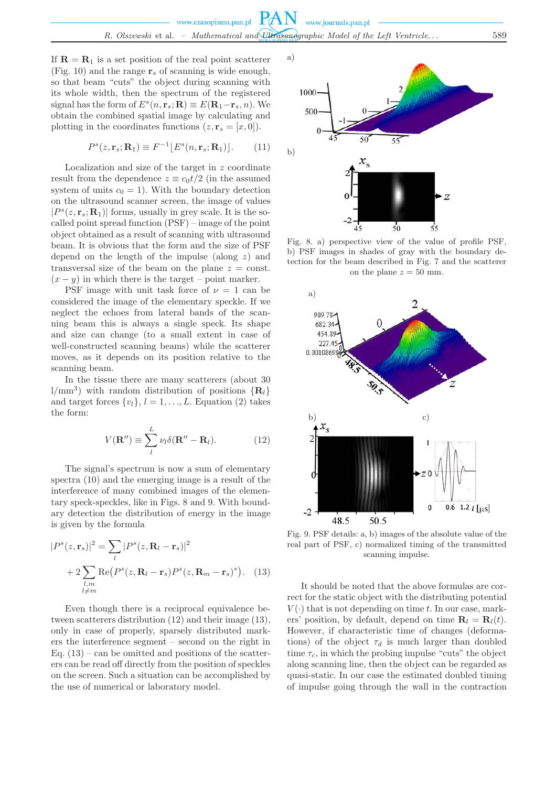If  $\mathbf{R} = \mathbf{R}_1$  is a set position of the real point scatterer (Fig. 10) and the range **r**<sup>s</sup> of scanning is wide enough, so that beam "cuts" the object during scanning with its whole width, then the spectrum of the registered signal has the form of  $E^s(n, \mathbf{r}_s; \mathbf{R}) \equiv E(\mathbf{R}_1 - \mathbf{r}_s, n)$ . We obtain the combined spatial image by calculating and plotting in the coordinates functions  $(z, r_s = [x, 0])$ .

$$
P^{s}(z, \mathbf{r}_{s}; \mathbf{R}_{1}) \equiv F^{-1} \lfloor E^{s}(n, \mathbf{r}_{s}; \mathbf{R}_{1}) \rfloor.
$$
 (11)

Localization and size of the target in z coordinate result from the dependence  $z \equiv c_0 t/2$  (in the assumed system of units  $c_0 = 1$ ). With the boundary detection on the ultrasound scanner screen, the image of values  $|P^{s}(z, \mathbf{r}_{s}; \mathbf{R}_{1})|$  forms, usually in grey scale. It is the socalled point spread function (PSF) – image of the point object obtained as a result of scanning with ultrasound beam. It is obvious that the form and the size of PSF depend on the length of the impulse (along  $z$ ) and transversal size of the beam on the plane  $z = \text{const.}$  $(x - y)$  in which there is the target – point marker.

PSF image with unit task force of  $\nu = 1$  can be considered the image of the elementary speckle. If we neglect the echoes from lateral bands of the scanning beam this is always a single speck. Its shape and size can change (to a small extent in case of well-constructed scanning beams) while the scatterer moves, as it depends on its position relative to the scanning beam.

In the tissue there are many scatterers (about 30  $1/\text{mm}^3$ ) with random distribution of positions  $\{R_l\}$ and target forces  $\{v_l\}, l = 1, \ldots, L$ . Equation (2) takes the form:

$$
V(\mathbf{R''}) \equiv \sum_{l}^{L} \nu_l \delta(\mathbf{R''} - \mathbf{R}_l). \tag{12}
$$

The signal's spectrum is now a sum of elementary spectra (10) and the emerging image is a result of the interference of many combined images of the elementary speck-speckles, like in Figs. 8 and 9. With boundary detection the distribution of energy in the image is given by the formula

$$
|P^{s}(z, \mathbf{r}_{s})|^{2} = \sum_{l} |P^{s}(z, \mathbf{R}_{l} - \mathbf{r}_{s})|^{2}
$$

$$
+ 2 \sum_{\substack{l,m\\l \neq m}} \text{Re}\big(P^{s}(z, \mathbf{R}_{l} - \mathbf{r}_{s})P^{s}(z, \mathbf{R}_{m} - \mathbf{r}_{s})^{*}\big).
$$
(13)

Even though there is a reciprocal equivalence between scatterers distribution (12) and their image (13), only in case of properly, sparsely distributed markers the interference segment – second on the right in Eq.  $(13)$  – can be omitted and positions of the scatterers can be read off directly from the position of speckles on the screen. Such a situation can be accomplished by the use of numerical or laboratory model.



Fig. 8. a) perspective view of the value of profile PSF, b) PSF images in shades of gray with the boundary detection for the beam described in Fig. 7 and the scatterer on the plane  $z = 50$  mm.



Fig. 9. PSF details: a, b) images of the absolute value of the real part of PSF, c) normalized timing of the transmitted scanning impulse.

It should be noted that the above formulas are correct for the static object with the distributing potential  $V(\cdot)$  that is not depending on time t. In our case, markers' position, by default, depend on time  $\mathbf{R}_l = \mathbf{R}_l(t)$ . However, if characteristic time of changes (deformations) of the object  $\tau_d$  is much larger than doubled time  $\tau_c$ , in which the probing impulse "cuts" the object along scanning line, then the object can be regarded as quasi-static. In our case the estimated doubled timing of impulse going through the wall in the contraction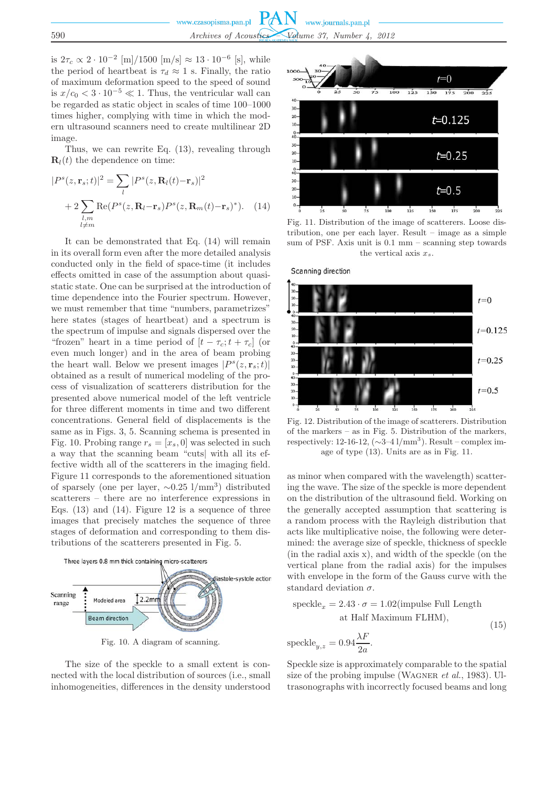is  $2\tau_c \propto 2 \cdot 10^{-2}$  [m]/1500 [m/s]  $\approx 13 \cdot 10^{-6}$  [s], while the period of heartbeat is  $\tau_d \approx 1$  s. Finally, the ratio of maximum deformation speed to the speed of sound is  $x/c_0 < 3 \cdot 10^{-5} \ll 1$ . Thus, the ventricular wall can be regarded as static object in scales of time 100–1000 times higher, complying with time in which the modern ultrasound scanners need to create multilinear 2D image.

Thus, we can rewrite Eq. (13), revealing through  $\mathbf{R}_l(t)$  the dependence on time:

$$
|P^{s}(z, \mathbf{r}_{s}; t)|^{2} = \sum_{l} |P^{s}(z, \mathbf{R}_{l}(t) - \mathbf{r}_{s})|^{2}
$$

$$
+ 2 \sum_{\substack{l,m\\l \neq m}} \text{Re}(P^{s}(z, \mathbf{R}_{l} - \mathbf{r}_{s})P^{s}(z, \mathbf{R}_{m}(t) - \mathbf{r}_{s})^{*}). \quad (14)
$$

It can be demonstrated that Eq. (14) will remain in its overall form even after the more detailed analysis conducted only in the field of space-time (it includes effects omitted in case of the assumption about quasistatic state. One can be surprised at the introduction of time dependence into the Fourier spectrum. However, we must remember that time "numbers, parametrizes" here states (stages of heartbeat) and a spectrum is the spectrum of impulse and signals dispersed over the "frozen" heart in a time period of  $[t - \tau_c; t + \tau_c]$  (or even much longer) and in the area of beam probing the heart wall. Below we present images  $|P^s(z, \mathbf{r}_s; t)|$ obtained as a result of numerical modeling of the process of visualization of scatterers distribution for the presented above numerical model of the left ventricle for three different moments in time and two different concentrations. General field of displacements is the same as in Figs. 3, 5. Scanning schema is presented in Fig. 10. Probing range  $r_s = [x_s, 0]$  was selected in such a way that the scanning beam "cuts| with all its effective width all of the scatterers in the imaging field. Figure 11 corresponds to the aforementioned situation of sparsely (one per layer, <sup>∼</sup>0.25 l/mm<sup>3</sup> ) distributed scatterers – there are no interference expressions in Eqs. (13) and (14). Figure 12 is a sequence of three images that precisely matches the sequence of three stages of deformation and corresponding to them distributions of the scatterers presented in Fig. 5.



Fig. 10. A diagram of scanning.

The size of the speckle to a small extent is connected with the local distribution of sources (i.e., small inhomogeneities, differences in the density understood



Fig. 11. Distribution of the image of scatterers. Loose distribution, one per each layer. Result – image as a simple sum of PSF. Axis unit is 0.1 mm – scanning step towards the vertical axis  $x_s$ .

Scanning direction



Fig. 12. Distribution of the image of scatterers. Distribution of the markers – as in Fig. 5. Distribution of the markers, respectively: 12-16-12,  $(\sim 3-41/\text{mm}^3)$ . Result – complex image of type (13). Units are as in Fig. 11.

as minor when compared with the wavelength) scattering the wave. The size of the speckle is more dependent on the distribution of the ultrasound field. Working on the generally accepted assumption that scattering is a random process with the Rayleigh distribution that acts like multiplicative noise, the following were determined: the average size of speckle, thickness of speckle (in the radial axis x), and width of the speckle (on the vertical plane from the radial axis) for the impulses with envelope in the form of the Gauss curve with the standard deviation  $\sigma$ .

$$
specklex = 2.43 \cdot \sigma = 1.02 \text{(impulse Full Length} \atop \text{at Half Maximum FLHM)}, \tag{15}
$$
  
\n
$$
speckley,z = 0.94 \frac{\lambda F}{2a}.
$$

Speckle size is approximately comparable to the spatial size of the probing impulse (WAGNER *et al.*, 1983). Ultrasonographs with incorrectly focused beams and long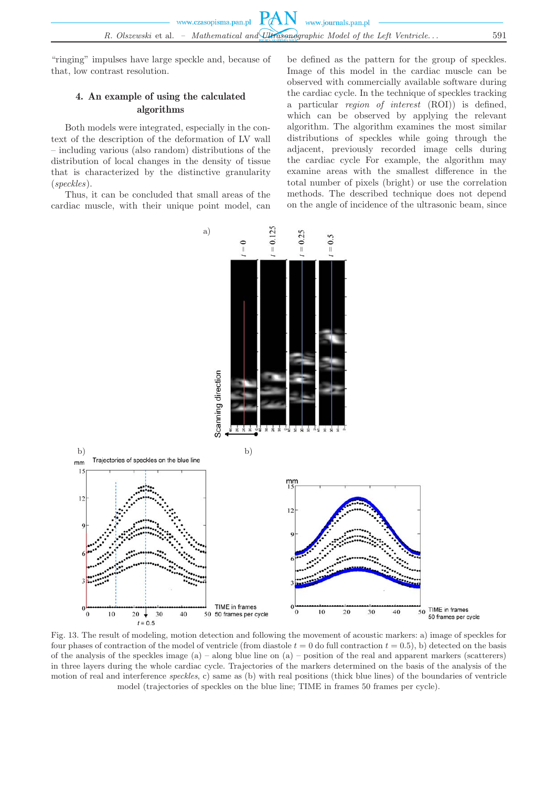"ringing" impulses have large speckle and, because of that, low contrast resolution.

# 4. An example of using the calculated algorithms

Both models were integrated, especially in the context of the description of the deformation of LV wall – including various (also random) distributions of the distribution of local changes in the density of tissue that is characterized by the distinctive granularity (*speckles*).

Thus, it can be concluded that small areas of the cardiac muscle, with their unique point model, can

be defined as the pattern for the group of speckles. Image of this model in the cardiac muscle can be observed with commercially available software during the cardiac cycle. In the technique of speckles tracking a particular *region of interest* (ROI)) is defined, which can be observed by applying the relevant algorithm. The algorithm examines the most similar distributions of speckles while going through the adjacent, previously recorded image cells during the cardiac cycle For example, the algorithm may examine areas with the smallest difference in the total number of pixels (bright) or use the correlation methods. The described technique does not depend on the angle of incidence of the ultrasonic beam, since



Fig. 13. The result of modeling, motion detection and following the movement of acoustic markers: a) image of speckles for four phases of contraction of the model of ventricle (from diastole  $t = 0$  do full contraction  $t = 0.5$ ), b) detected on the basis of the analysis of the speckles image  $(a)$  – along blue line on  $(a)$  – position of the real and apparent markers (scatterers) in three layers during the whole cardiac cycle. Trajectories of the markers determined on the basis of the analysis of the motion of real and interference *speckles*, c) same as (b) with real positions (thick blue lines) of the boundaries of ventricle model (trajectories of speckles on the blue line; TIME in frames 50 frames per cycle).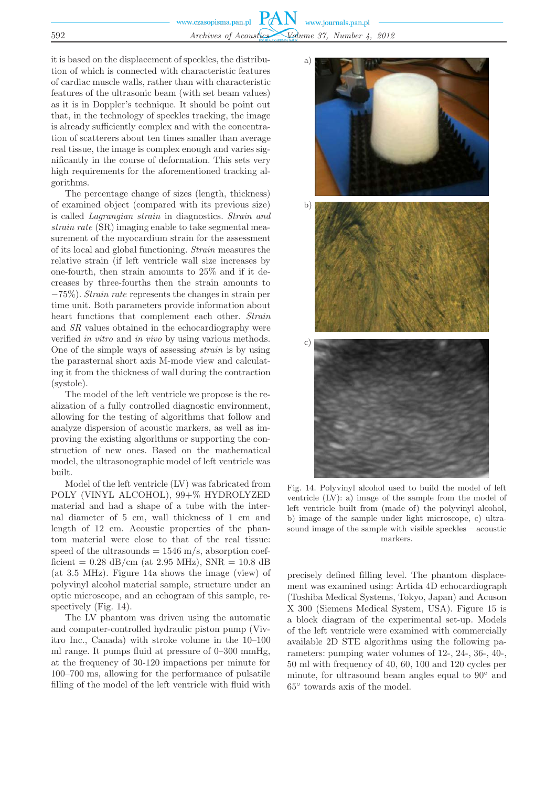it is based on the displacement of speckles, the distribution of which is connected with characteristic features of cardiac muscle walls, rather than with characteristic features of the ultrasonic beam (with set beam values) as it is in Doppler's technique. It should be point out that, in the technology of speckles tracking, the image is already sufficiently complex and with the concentration of scatterers about ten times smaller than average real tissue, the image is complex enough and varies significantly in the course of deformation. This sets very high requirements for the aforementioned tracking algorithms.

The percentage change of sizes (length, thickness) of examined object (compared with its previous size) is called *Lagrangian strain* in diagnostics. *Strain and strain rate* (SR) imaging enable to take segmental measurement of the myocardium strain for the assessment of its local and global functioning. *Strain* measures the relative strain (if left ventricle wall size increases by one-fourth, then strain amounts to 25% and if it decreases by three-fourths then the strain amounts to −75%). *Strain rate* represents the changes in strain per time unit. Both parameters provide information about heart functions that complement each other. *Strain* and *SR* values obtained in the echocardiography were verified *in vitro* and *in vivo* by using various methods. One of the simple ways of assessing *strain* is by using the parasternal short axis M-mode view and calculating it from the thickness of wall during the contraction (systole).

The model of the left ventricle we propose is the realization of a fully controlled diagnostic environment, allowing for the testing of algorithms that follow and analyze dispersion of acoustic markers, as well as improving the existing algorithms or supporting the construction of new ones. Based on the mathematical model, the ultrasonographic model of left ventricle was built.

Model of the left ventricle (LV) was fabricated from POLY (VINYL ALCOHOL), 99+% HYDROLYZED material and had a shape of a tube with the internal diameter of 5 cm, wall thickness of 1 cm and length of 12 cm. Acoustic properties of the phantom material were close to that of the real tissue: speed of the ultrasounds  $= 1546$  m/s, absorption coefficient =  $0.28$  dB/cm (at 2.95 MHz), SNR = 10.8 dB (at 3.5 MHz). Figure 14a shows the image (view) of polyvinyl alcohol material sample, structure under an optic microscope, and an echogram of this sample, respectively (Fig. 14).

The LV phantom was driven using the automatic and computer-controlled hydraulic piston pump (Vivitro Inc., Canada) with stroke volume in the 10–100 ml range. It pumps fluid at pressure of 0–300 mmHg, at the frequency of 30-120 impactions per minute for 100–700 ms, allowing for the performance of pulsatile filling of the model of the left ventricle with fluid with



Fig. 14. Polyvinyl alcohol used to build the model of left ventricle (LV): a) image of the sample from the model of left ventricle built from (made of) the polyvinyl alcohol, b) image of the sample under light microscope, c) ultrasound image of the sample with visible speckles – acoustic markers.

precisely defined filling level. The phantom displacement was examined using: Artida 4D echocardiograph (Toshiba Medical Systems, Tokyo, Japan) and Acuson X 300 (Siemens Medical System, USA). Figure 15 is a block diagram of the experimental set-up. Models of the left ventricle were examined with commercially available 2D STE algorithms using the following parameters: pumping water volumes of 12-, 24-, 36-, 40-, 50 ml with frequency of 40, 60, 100 and 120 cycles per minute, for ultrasound beam angles equal to 90◦ and 65◦ towards axis of the model.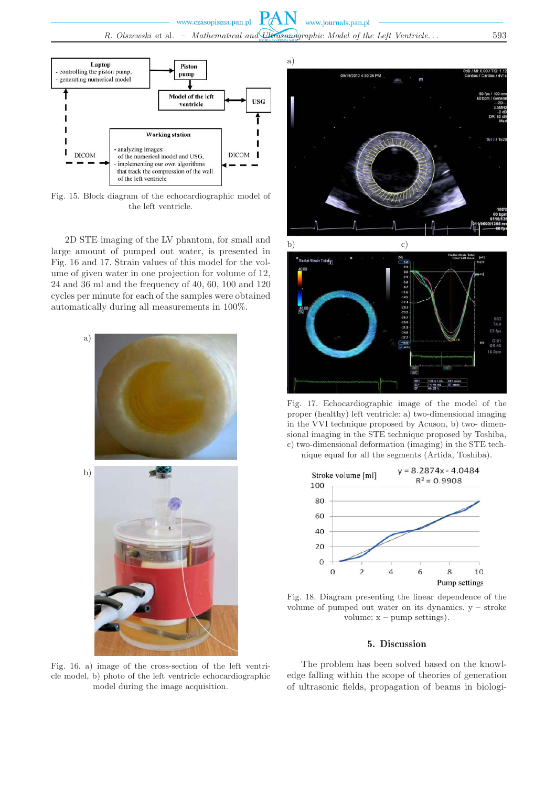

Fig. 15. Block diagram of the echocardiographic model of the left ventricle.

2D STE imaging of the LV phantom, for small and large amount of pumped out water, is presented in Fig. 16 and 17. Strain values of this model for the volume of given water in one projection for volume of 12, 24 and 36 ml and the frequency of 40, 60, 100 and 120 cycles per minute for each of the samples were obtained automatically during all measurements in 100%.



Fig. 16. a) image of the cross-section of the left ventricle model, b) photo of the left ventricle echocardiographic model during the image acquisition.





Fig. 17. Echocardiographic image of the model of the proper (healthy) left ventricle: a) two-dimensional imaging in the VVI technique proposed by Acuson, b) two- dimensional imaging in the STE technique proposed by Toshiba, c) two-dimensional deformation (imaging) in the STE technique equal for all the segments (Artida, Toshiba).



Fig. 18. Diagram presenting the linear dependence of the volume of pumped out water on its dynamics. y – stroke volume;  $x - pump$  settings).

#### 5. Discussion

The problem has been solved based on the knowledge falling within the scope of theories of generation of ultrasonic fields, propagation of beams in biologi-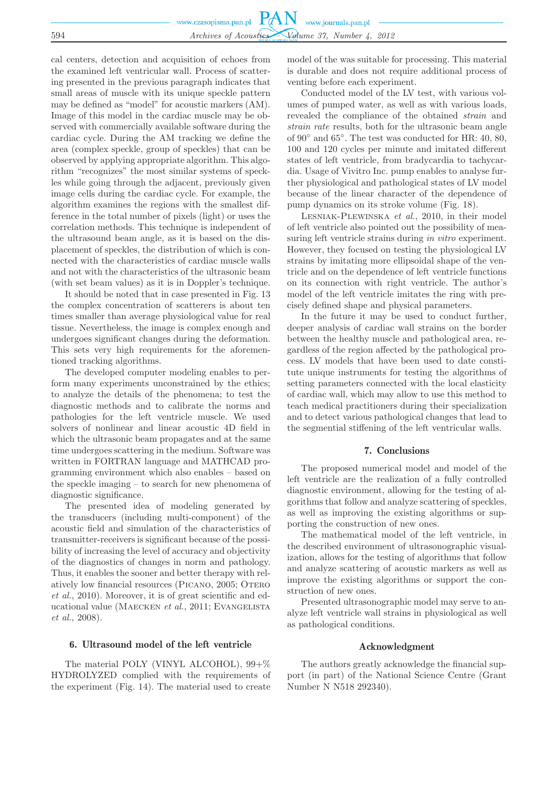|     | www.czasopisma.pan.pl $PAN$ www.journals.pan.pl |
|-----|-------------------------------------------------|
|     |                                                 |
| 594 | Archives of Acoustics Volume 37, Number 4, 2012 |

cal centers, detection and acquisition of echoes from the examined left ventricular wall. Process of scattering presented in the previous paragraph indicates that small areas of muscle with its unique speckle pattern may be defined as "model" for acoustic markers (AM). Image of this model in the cardiac muscle may be observed with commercially available software during the cardiac cycle. During the AM tracking we define the area (complex speckle, group of speckles) that can be observed by applying appropriate algorithm. This algorithm "recognizes" the most similar systems of speckles while going through the adjacent, previously given image cells during the cardiac cycle. For example, the algorithm examines the regions with the smallest difference in the total number of pixels (light) or uses the correlation methods. This technique is independent of the ultrasound beam angle, as it is based on the displacement of speckles, the distribution of which is connected with the characteristics of cardiac muscle walls and not with the characteristics of the ultrasonic beam (with set beam values) as it is in Doppler's technique.

It should be noted that in case presented in Fig. 13 the complex concentration of scatterers is about ten times smaller than average physiological value for real tissue. Nevertheless, the image is complex enough and undergoes significant changes during the deformation. This sets very high requirements for the aforementioned tracking algorithms.

The developed computer modeling enables to perform many experiments unconstrained by the ethics; to analyze the details of the phenomena; to test the diagnostic methods and to calibrate the norms and pathologies for the left ventricle muscle. We used solvers of nonlinear and linear acoustic 4D field in which the ultrasonic beam propagates and at the same time undergoes scattering in the medium. Software was written in FORTRAN language and MATHCAD programming environment which also enables – based on the speckle imaging – to search for new phenomena of diagnostic significance.

The presented idea of modeling generated by the transducers (including multi-component) of the acoustic field and simulation of the characteristics of transmitter-receivers is significant because of the possibility of increasing the level of accuracy and objectivity of the diagnostics of changes in norm and pathology. Thus, it enables the sooner and better therapy with relatively low financial resources (Picano, 2005; Otero *et al.*, 2010). Moreover, it is of great scientific and educational value (MAECKEN *et al.*, 2011; EVANGELISTA *et al.*, 2008).

# 6. Ultrasound model of the left ventricle

The material POLY (VINYL ALCOHOL), 99+% HYDROLYZED complied with the requirements of the experiment (Fig. 14). The material used to create model of the was suitable for processing. This material is durable and does not require additional process of venting before each experiment.

Conducted model of the LV test, with various volumes of pumped water, as well as with various loads, revealed the compliance of the obtained *strain* and *strain rate* results, both for the ultrasonic beam angle of 90◦ and 65◦ . The test was conducted for HR: 40, 80, 100 and 120 cycles per minute and imitated different states of left ventricle, from bradycardia to tachycardia. Usage of Vivitro Inc. pump enables to analyse further physiological and pathological states of LV model because of the linear character of the dependence of pump dynamics on its stroke volume (Fig. 18).

Lesniak-Plewinska *et al.*, 2010, in their model of left ventricle also pointed out the possibility of measuring left ventricle strains during *in vitro* experiment. However, they focused on testing the physiological LV strains by imitating more ellipsoidal shape of the ventricle and on the dependence of left ventricle functions on its connection with right ventricle. The author's model of the left ventricle imitates the ring with precisely defined shape and physical parameters.

In the future it may be used to conduct further, deeper analysis of cardiac wall strains on the border between the healthy muscle and pathological area, regardless of the region affected by the pathological process. LV models that have been used to date constitute unique instruments for testing the algorithms of setting parameters connected with the local elasticity of cardiac wall, which may allow to use this method to teach medical practitioners during their specialization and to detect various pathological changes that lead to the segmential stiffening of the left ventricular walls.

## 7. Conclusions

The proposed numerical model and model of the left ventricle are the realization of a fully controlled diagnostic environment, allowing for the testing of algorithms that follow and analyze scattering of speckles, as well as improving the existing algorithms or supporting the construction of new ones.

The mathematical model of the left ventricle, in the described environment of ultrasonographic visualization, allows for the testing of algorithms that follow and analyze scattering of acoustic markers as well as improve the existing algorithms or support the construction of new ones.

Presented ultrasonographic model may serve to analyze left ventricle wall strains in physiological as well as pathological conditions.

## Acknowledgment

The authors greatly acknowledge the financial support (in part) of the National Science Centre (Grant Number N N518 292340).